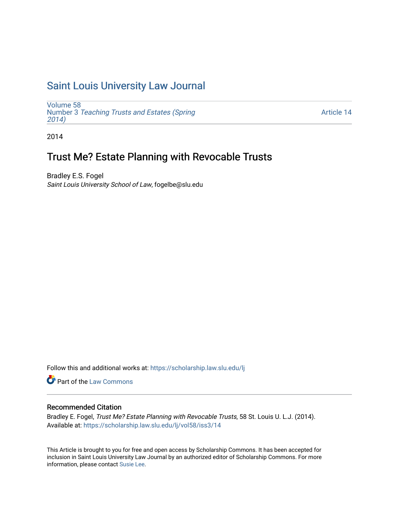# [Saint Louis University Law Journal](https://scholarship.law.slu.edu/lj)

[Volume 58](https://scholarship.law.slu.edu/lj/vol58) Number 3 [Teaching Trusts and Estates \(Spring](https://scholarship.law.slu.edu/lj/vol58/iss3) [2014\)](https://scholarship.law.slu.edu/lj/vol58/iss3) 

[Article 14](https://scholarship.law.slu.edu/lj/vol58/iss3/14) 

2014

# Trust Me? Estate Planning with Revocable Trusts

Bradley E.S. Fogel Saint Louis University School of Law, fogelbe@slu.edu

Follow this and additional works at: [https://scholarship.law.slu.edu/lj](https://scholarship.law.slu.edu/lj?utm_source=scholarship.law.slu.edu%2Flj%2Fvol58%2Fiss3%2F14&utm_medium=PDF&utm_campaign=PDFCoverPages) 

Part of the [Law Commons](http://network.bepress.com/hgg/discipline/578?utm_source=scholarship.law.slu.edu%2Flj%2Fvol58%2Fiss3%2F14&utm_medium=PDF&utm_campaign=PDFCoverPages)

# Recommended Citation

Bradley E. Fogel, Trust Me? Estate Planning with Revocable Trusts, 58 St. Louis U. L.J. (2014). Available at: [https://scholarship.law.slu.edu/lj/vol58/iss3/14](https://scholarship.law.slu.edu/lj/vol58/iss3/14?utm_source=scholarship.law.slu.edu%2Flj%2Fvol58%2Fiss3%2F14&utm_medium=PDF&utm_campaign=PDFCoverPages)

This Article is brought to you for free and open access by Scholarship Commons. It has been accepted for inclusion in Saint Louis University Law Journal by an authorized editor of Scholarship Commons. For more information, please contact [Susie Lee](mailto:susie.lee@slu.edu).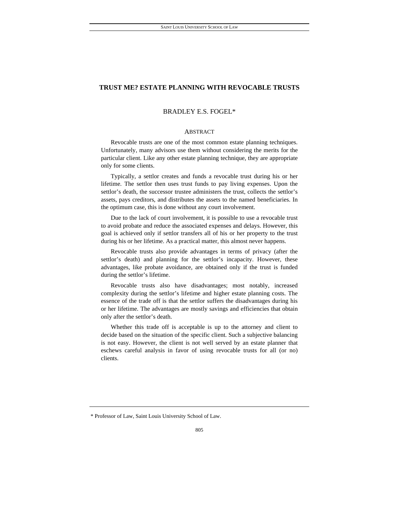# BRADLEY E.S. FOGEL\*

# ABSTRACT

 Revocable trusts are one of the most common estate planning techniques. Unfortunately, many advisors use them without considering the merits for the particular client. Like any other estate planning technique, they are appropriate only for some clients.

 Typically, a settlor creates and funds a revocable trust during his or her lifetime. The settlor then uses trust funds to pay living expenses. Upon the settlor's death, the successor trustee administers the trust, collects the settlor's assets, pays creditors, and distributes the assets to the named beneficiaries. In the optimum case, this is done without any court involvement.

 Due to the lack of court involvement, it is possible to use a revocable trust to avoid probate and reduce the associated expenses and delays. However, this goal is achieved only if settlor transfers all of his or her property to the trust during his or her lifetime. As a practical matter, this almost never happens.

 Revocable trusts also provide advantages in terms of privacy (after the settlor's death) and planning for the settlor's incapacity. However, these advantages, like probate avoidance, are obtained only if the trust is funded during the settlor's lifetime.

 Revocable trusts also have disadvantages; most notably, increased complexity during the settlor's lifetime and higher estate planning costs. The essence of the trade off is that the settlor suffers the disadvantages during his or her lifetime. The advantages are mostly savings and efficiencies that obtain only after the settlor's death.

 Whether this trade off is acceptable is up to the attorney and client to decide based on the situation of the specific client. Such a subjective balancing is not easy. However, the client is not well served by an estate planner that eschews careful analysis in favor of using revocable trusts for all (or no) clients.

<sup>\*</sup> Professor of Law, Saint Louis University School of Law.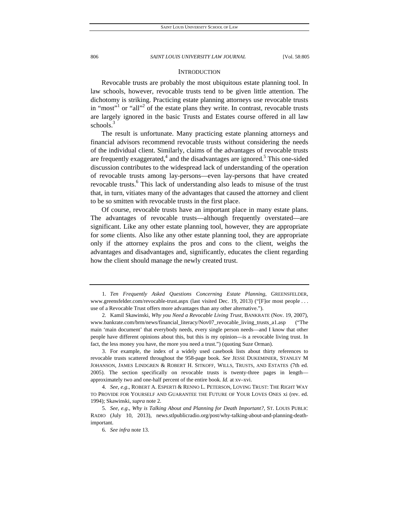# **INTRODUCTION**

Revocable trusts are probably the most ubiquitous estate planning tool. In law schools, however, revocable trusts tend to be given little attention. The dichotomy is striking. Practicing estate planning attorneys use revocable trusts in "most"<sup>1</sup> or "all"<sup>2</sup> of the estate plans they write. In contrast, revocable trusts are largely ignored in the basic Trusts and Estates course offered in all law schools.<sup>3</sup>

The result is unfortunate. Many practicing estate planning attorneys and financial advisors recommend revocable trusts without considering the needs of the individual client. Similarly, claims of the advantages of revocable trusts are frequently exaggerated,<sup>4</sup> and the disadvantages are ignored.<sup>5</sup> This one-sided discussion contributes to the widespread lack of understanding of the operation of revocable trusts among lay-persons—even lay-persons that have created revocable trusts.<sup>6</sup> This lack of understanding also leads to misuse of the trust that, in turn, vitiates many of the advantages that caused the attorney and client to be so smitten with revocable trusts in the first place.

Of course, revocable trusts have an important place in many estate plans. The advantages of revocable trusts—although frequently overstated—are significant. Like any other estate planning tool, however, they are appropriate for *some* clients. Also like any other estate planning tool, they are appropriate only if the attorney explains the pros and cons to the client, weighs the advantages and disadvantages and, significantly, educates the client regarding how the client should manage the newly created trust.

 <sup>1.</sup> *Ten Frequently Asked Questions Concerning Estate Planning*, GREENSFELDER, www.greensfelder.com/revocable-trust.aspx (last visited Dec. 19, 2013) ("[F]or most people . . . use of a Revocable Trust offers more advantages than any other alternative.").

 <sup>2.</sup> Kamil Skawinski, *Why you Need a Revocable Living Trust*, BANKRATE (Nov. 19, 2007), www.bankrate.com/brm/news/financial\_literacy/Nov07\_revocable\_living\_trusts\_a1.asp ("The main 'main document' that everybody needs, every single person needs—and I know that other people have different opinions about this, but this is my opinion—is a revocable living trust. In fact, the less money you have, the more you need a trust.") (quoting Suze Orman).

 <sup>3.</sup> For example, the index of a widely used casebook lists about thirty references to revocable trusts scattered throughout the 958-page book. *See* JESSE DUKEMINIER, STANLEY M JOHANSON, JAMES LINDGREN & ROBERT H. SITKOFF, WILLS, TRUSTS, AND ESTATES (7th ed. 2005). The section specifically on revocable trusts is twenty-three pages in length approximately two and one-half percent of the entire book. *Id.* at xv–xvi.

 <sup>4.</sup> *See, e.g*., ROBERT A. ESPERTI & RENNO L. PETERSON, LOVING TRUST: THE RIGHT WAY TO PROVIDE FOR YOURSELF AND GUARANTEE THE FUTURE OF YOUR LOVES ONES xi (rev. ed. 1994); Skawinski, *supra* note 2.

 <sup>5.</sup> *See, e.g*., *Why is Talking About and Planning for Death Important?*, ST. LOUIS PUBLIC RADIO (July 10, 2013), news.stlpublicradio.org/post/why-talking-about-and-planning-deathimportant.

 <sup>6.</sup> *See infra* note 13.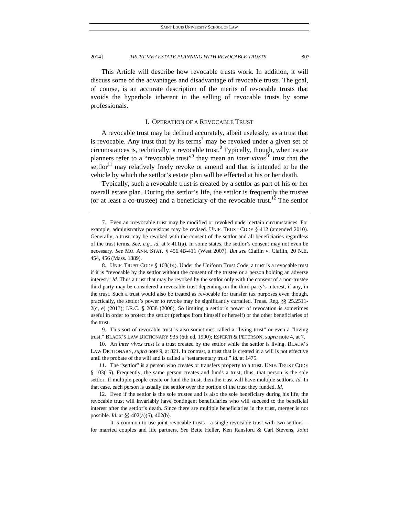This Article will describe how revocable trusts work. In addition, it will discuss some of the advantages and disadvantage of revocable trusts. The goal, of course, is an accurate description of the merits of revocable trusts that avoids the hyperbole inherent in the selling of revocable trusts by some professionals.

# I. OPERATION OF A REVOCABLE TRUST

A revocable trust may be defined accurately, albeit uselessly, as a trust that is revocable. Any trust that by its terms<sup>7</sup> may be revoked under a given set of  $circumstances$  is, technically, a revocable trust. $8$  Typically, though, when estate planners refer to a "revocable trust"<sup>9</sup> they mean an *inter vivos*<sup>10</sup> trust that the settlor<sup>11</sup> may relatively freely revoke or amend and that is intended to be the vehicle by which the settlor's estate plan will be effected at his or her death.

Typically, such a revocable trust is created by a settlor as part of his or her overall estate plan. During the settlor's life, the settlor is frequently the trustee (or at least a co-trustee) and a beneficiary of the revocable trust.<sup>12</sup> The settlor

 8. UNIF. TRUST CODE § 103(14). Under the Uniform Trust Code, a trust is a revocable trust if it is "revocable by the settlor without the consent of the trustee or a person holding an adverse interest." *Id.* Thus a trust that may be revoked by the settlor only with the consent of a non-trustee third party may be considered a revocable trust depending on the third party's interest, if any, in the trust. Such a trust would also be treated as revocable for transfer tax purposes even though, practically, the settlor's power to revoke may be significantly curtailed. Treas. Reg. §§ 25.2511- 2(c, e) (2013); I.R.C. § 2038 (2006). So limiting a settlor's power of revocation is sometimes useful in order to protect the settlor (perhaps from himself or herself) or the other beneficiaries of the trust.

 9. This sort of revocable trust is also sometimes called a "living trust" or even a "loving trust." BLACK'S LAW DICTIONARY 935 (6th ed. 1990); ESPERTI & PETERSON, *supra* note 4, at 7.

 10. An *inter vivos* trust is a trust created by the settlor while the settlor is living. BLACK'S LAW DICTIONARY, *supra* note 9, at 821. In contrast, a trust that is created in a will is not effective until the probate of the will and is called a "testamentary trust." *Id.* at 1475.

 11. The "settlor" is a person who creates or transfers property to a trust. UNIF. TRUST CODE § 103(15). Frequently, the same person creates and funds a trust; thus, that person is the sole settlor. If multiple people create or fund the trust, then the trust will have multiple settlors. *Id.* In that case, each person is usually the settlor over the portion of the trust they funded. *Id.*

 12. Even if the settlor is the sole trustee and is also the sole beneficiary during his life, the revocable trust will invariably have contingent beneficiaries who will succeed to the beneficial interest after the settlor's death. Since there are multiple beneficiaries in the trust, merger is not possible. *Id.* at §§ 402(a)(5), 402(b).

 It is common to use joint revocable trusts—a single revocable trust with two settlors for married couples and life partners. *See* Bette Heller, Ken Ransford & Carl Stevens, *Joint* 

 <sup>7.</sup> Even an irrevocable trust may be modified or revoked under certain circumstances. For example, administrative provisions may be revised. UNIF. TRUST CODE § 412 (amended 2010). Generally, a trust may be revoked with the consent of the settlor and all beneficiaries regardless of the trust terms. *See, e.g*., *id.* at § 411(a). In some states, the settlor's consent may not even be necessary. *See* MO. ANN. STAT. § 456.4B-411 (West 2007). *But see* Claflin v. Claflin, 20 N.E. 454, 456 (Mass. 1889).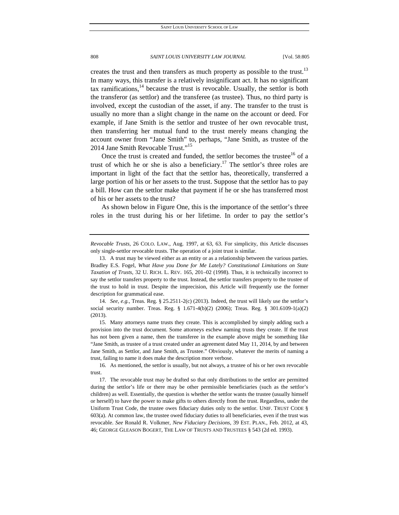creates the trust and then transfers as much property as possible to the trust.<sup>13</sup> In many ways, this transfer is a relatively insignificant act. It has no significant tax ramifications,  $14$  because the trust is revocable. Usually, the settlor is both the transferor (as settlor) and the transferee (as trustee). Thus, no third party is involved, except the custodian of the asset, if any. The transfer to the trust is usually no more than a slight change in the name on the account or deed. For example, if Jane Smith is the settlor and trustee of her own revocable trust, then transferring her mutual fund to the trust merely means changing the account owner from "Jane Smith" to, perhaps, "Jane Smith, as trustee of the 2014 Jane Smith Revocable Trust."<sup>15</sup>

Once the trust is created and funded, the settlor becomes the trustee<sup>16</sup> of a trust of which he or she is also a beneficiary.<sup>17</sup> The settlor's three roles are important in light of the fact that the settlor has, theoretically, transferred a large portion of his or her assets to the trust. Suppose that the settlor has to pay a bill. How can the settlor make that payment if he or she has transferred most of his or her assets to the trust?

As shown below in Figure One, this is the importance of the settlor's three roles in the trust during his or her lifetime. In order to pay the settlor's

 14. *See, e.g.*, Treas. Reg. § 25.2511-2(c) (2013). Indeed, the trust will likely use the settlor's social security number. Treas. Reg. § 1.671-4(b)(2) (2006); Treas. Reg. § 301.6109-1(a)(2) (2013).

 15. Many attorneys name trusts they create. This is accomplished by simply adding such a provision into the trust document. Some attorneys eschew naming trusts they create. If the trust has not been given a name, then the transferee in the example above might be something like "Jane Smith, as trustee of a trust created under an agreement dated May 11, 2014, by and between Jane Smith, as Settlor, and Jane Smith, as Trustee." Obviously, whatever the merits of naming a trust, failing to name it does make the description more verbose.

*Revocable Trusts*, 26 COLO. LAW., Aug. 1997, at 63, 63. For simplicity, this Article discusses only single-settlor revocable trusts. The operation of a joint trust is similar.

 <sup>13.</sup> A trust may be viewed either as an entity or as a relationship between the various parties. Bradley E.S. Fogel, *What Have you Done for Me Lately? Constitutional Limitations on State Taxation of Trusts*, 32 U. RICH. L. REV. 165, 201–02 (1998). Thus, it is technically incorrect to say the settlor transfers property to the trust. Instead, the settlor transfers property to the trustee of the trust to hold in trust. Despite the imprecision, this Article will frequently use the former description for grammatical ease.

 <sup>16.</sup> As mentioned, the settlor is usually, but not always, a trustee of his or her own revocable trust.

 <sup>17.</sup> The revocable trust may be drafted so that only distributions to the settlor are permitted during the settlor's life or there may be other permissible beneficiaries (such as the settlor's children) as well. Essentially, the question is whether the settlor wants the trustee (usually himself or herself) to have the power to make gifts to others directly from the trust. Regardless, under the Uniform Trust Code, the trustee owes fiduciary duties only to the settlor. UNIF. TRUST CODE § 603(a). At common law, the trustee owed fiduciary duties to all beneficiaries, even if the trust was revocable. *See* Ronald R. Volkmer, *New Fiduciary Decisions*, 39 EST. PLAN., Feb. 2012, at 43, 46; GEORGE GLEASON BOGERT, THE LAW OF TRUSTS AND TRUSTEES § 543 (2d ed. 1993).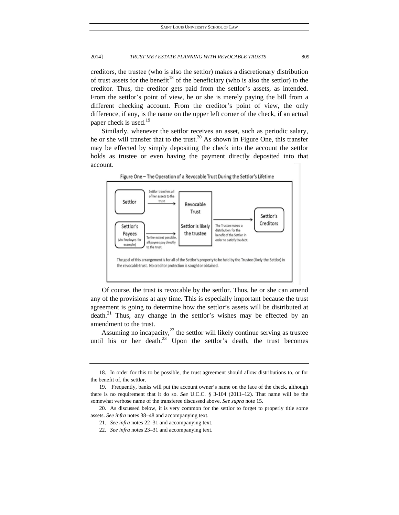creditors, the trustee (who is also the settlor) makes a discretionary distribution of trust assets for the benefit<sup>18</sup> of the beneficiary (who is also the settlor) to the creditor. Thus, the creditor gets paid from the settlor's assets, as intended. From the settlor's point of view, he or she is merely paying the bill from a different checking account. From the creditor's point of view, the only difference, if any, is the name on the upper left corner of the check, if an actual paper check is used.<sup>19</sup>

Similarly, whenever the settlor receives an asset, such as periodic salary, he or she will transfer that to the trust.<sup>20</sup> As shown in Figure One, this transfer may be effected by simply depositing the check into the account the settlor holds as trustee or even having the payment directly deposited into that account.





Of course, the trust is revocable by the settlor. Thus, he or she can amend any of the provisions at any time. This is especially important because the trust agreement is going to determine how the settlor's assets will be distributed at death.<sup>21</sup> Thus, any change in the settlor's wishes may be effected by an amendment to the trust.

Assuming no incapacity, $^{22}$  the settlor will likely continue serving as trustee until his or her death.<sup>23</sup> Upon the settlor's death, the trust becomes

 <sup>18.</sup> In order for this to be possible, the trust agreement should allow distributions to, or for the benefit of, the settlor.

 <sup>19.</sup> Frequently, banks will put the account owner's name on the face of the check, although there is no requirement that it do so. *See* U.C.C. § 3-104 (2011–12). That name will be the somewhat verbose name of the transferee discussed above. *See supra* note 15.

 <sup>20.</sup> As discussed below, it is very common for the settlor to forget to properly title some assets. *See infra* notes 38–48 and accompanying text.

 <sup>21.</sup> *See infra* notes 22–31 and accompanying text.

 <sup>22.</sup> *See infra* notes 23–31 and accompanying text.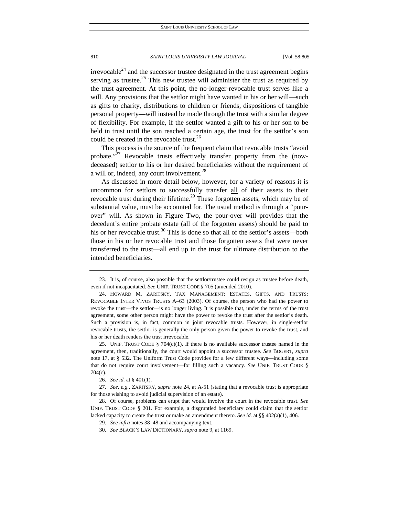$irrevocable<sup>24</sup>$  and the successor trustee designated in the trust agreement begins serving as trustee.<sup>25</sup> This new trustee will administer the trust as required by the trust agreement. At this point, the no-longer-revocable trust serves like a will. Any provisions that the settlor might have wanted in his or her will—such as gifts to charity, distributions to children or friends, dispositions of tangible personal property—will instead be made through the trust with a similar degree of flexibility. For example, if the settlor wanted a gift to his or her son to be held in trust until the son reached a certain age, the trust for the settlor's son could be created in the revocable trust.<sup>26</sup>

This process is the source of the frequent claim that revocable trusts "avoid probate."<sup>27</sup> Revocable trusts effectively transfer property from the (nowdeceased) settlor to his or her desired beneficiaries without the requirement of a will or, indeed, any court involvement.<sup>28</sup>

As discussed in more detail below, however, for a variety of reasons it is uncommon for settlors to successfully transfer all of their assets to their revocable trust during their lifetime.<sup>29</sup> These forgotten assets, which may be of substantial value, must be accounted for. The usual method is through a "pourover" will. As shown in Figure Two, the pour-over will provides that the decedent's entire probate estate (all of the forgotten assets) should be paid to his or her revocable trust.<sup>30</sup> This is done so that all of the settlor's assets—both those in his or her revocable trust and those forgotten assets that were never transferred to the trust—all end up in the trust for ultimate distribution to the intended beneficiaries.

 25. UNIF. TRUST CODE § 704(c)(1). If there is no available successor trustee named in the agreement, then, traditionally, the court would appoint a successor trustee. *See* BOGERT, *supra*  note 17, at § 532. The Uniform Trust Code provides for a few different ways—including some that do not require court involvement—for filling such a vacancy. *See* UNIF. TRUST CODE § 704(c).

 <sup>23.</sup> It is, of course, also possible that the settlor/trustee could resign as trustee before death, even if not incapacitated. *See* UNIF. TRUST CODE § 705 (amended 2010).

 <sup>24.</sup> HOWARD M. ZARITSKY, TAX MANAGEMENT: ESTATES, GIFTS, AND TRUSTS: REVOCABLE INTER VIVOS TRUSTS A–63 (2003). Of course, the person who had the power to revoke the trust—the settlor—is no longer living. It is possible that, under the terms of the trust agreement, some other person might have the power to revoke the trust after the settlor's death. Such a provision is, in fact, common in joint revocable trusts. However, in single-settlor revocable trusts, the settlor is generally the only person given the power to revoke the trust, and his or her death renders the trust irrevocable.

 <sup>26.</sup> *See id.* at § 401(1).

 <sup>27.</sup> *See, e.g.*, ZARITSKY, *supra* note 24, at A-51 (stating that a revocable trust is appropriate for those wishing to avoid judicial supervision of an estate).

 <sup>28.</sup> Of course, problems can erupt that would involve the court in the revocable trust. *See*  UNIF. TRUST CODE § 201. For example, a disgruntled beneficiary could claim that the settlor lacked capacity to create the trust or make an amendment thereto. *See id.* at §§ 402(a)(1), 406.

 <sup>29.</sup> *See infra* notes 38–48 and accompanying text.

 <sup>30.</sup> *See* BLACK'S LAW DICTIONARY, *supra* note 9, at 1169.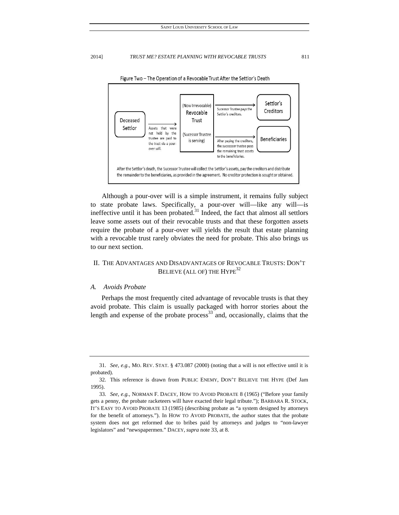

Although a pour-over will is a simple instrument, it remains fully subject to state probate laws. Specifically, a pour-over will—like any will—is ineffective until it has been probated. $31$  Indeed, the fact that almost all settlors leave some assets out of their revocable trusts and that these forgotten assets require the probate of a pour-over will yields the result that estate planning with a revocable trust rarely obviates the need for probate. This also brings us to our next section.

# II. THE ADVANTAGES AND DISADVANTAGES OF REVOCABLE TRUSTS: DON'T BELIEVE (ALL OF) THE HYPE<sup>32</sup>

# *A. Avoids Probate*

Perhaps the most frequently cited advantage of revocable trusts is that they avoid probate. This claim is usually packaged with horror stories about the length and expense of the probate process<sup>33</sup> and, occasionally, claims that the

 <sup>31.</sup> *See, e.g.*, MO. REV. STAT. § 473.087 (2000) (noting that a will is not effective until it is probated).

 <sup>32.</sup> This reference is drawn from PUBLIC ENEMY, DON'T BELIEVE THE HYPE (Def Jam 1995).

 <sup>33.</sup> *See, e.g.*, NORMAN F. DACEY, HOW TO AVOID PROBATE 8 (1965) ("Before your family gets a penny, the probate racketeers will have exacted their legal tribute."); BARBARA R. STOCK, IT'S EASY TO AVOID PROBATE 13 (1985) (describing probate as "a system designed by attorneys for the benefit of attorneys."). In HOW TO AVOID PROBATE, the author states that the probate system does not get reformed due to bribes paid by attorneys and judges to "non-lawyer legislators" and "newspapermen." DACEY, *supra* note 33, at 8.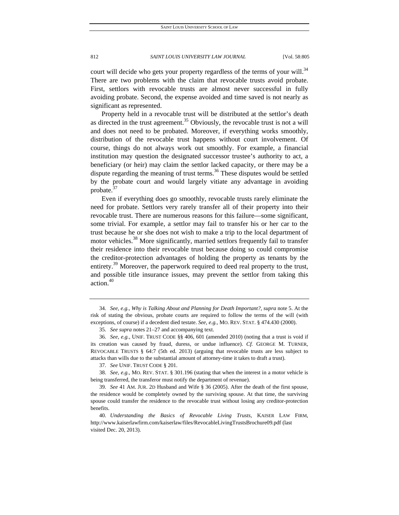court will decide who gets your property regardless of the terms of your will.<sup>34</sup> There are two problems with the claim that revocable trusts avoid probate. First, settlors with revocable trusts are almost never successful in fully avoiding probate. Second, the expense avoided and time saved is not nearly as significant as represented.

Property held in a revocable trust will be distributed at the settlor's death as directed in the trust agreement.<sup>35</sup> Obviously, the revocable trust is not a will and does not need to be probated. Moreover, if everything works smoothly, distribution of the revocable trust happens without court involvement. Of course, things do not always work out smoothly. For example, a financial institution may question the designated successor trustee's authority to act, a beneficiary (or heir) may claim the settlor lacked capacity, or there may be a dispute regarding the meaning of trust terms.<sup>36</sup> These disputes would be settled by the probate court and would largely vitiate any advantage in avoiding probate.<sup>37</sup>

Even if everything does go smoothly, revocable trusts rarely eliminate the need for probate. Settlors very rarely transfer all of their property into their revocable trust. There are numerous reasons for this failure—some significant, some trivial. For example, a settlor may fail to transfer his or her car to the trust because he or she does not wish to make a trip to the local department of motor vehicles.<sup>38</sup> More significantly, married settlors frequently fail to transfer their residence into their revocable trust because doing so could compromise the creditor-protection advantages of holding the property as tenants by the entirety.<sup>39</sup> Moreover, the paperwork required to deed real property to the trust, and possible title insurance issues, may prevent the settlor from taking this action.40

 <sup>34.</sup> *See, e.g.*, *Why is Talking About and Planning for Death Important?*, *supra* note 5. At the risk of stating the obvious, probate courts are required to follow the terms of the will (with exceptions, of course) if a decedent died testate. *See, e.g.*, MO. REV. STAT. § 474.430 (2000).

 <sup>35.</sup> *See supra* notes 21–27 and accompanying text.

 <sup>36.</sup> *See, e.g.*, UNIF. TRUST CODE §§ 406, 601 (amended 2010) (noting that a trust is void if its creation was caused by fraud, duress, or undue influence). *Cf.* GEORGE M. TURNER, REVOCABLE TRUSTS § 64:7 (5th ed. 2013) (arguing that revocable trusts are less subject to attacks than wills due to the substantial amount of attorney-time it takes to draft a trust).

 <sup>37.</sup> *See* UNIF. TRUST CODE § 201.

 <sup>38.</sup> *See, e.g.*, MO. REV. STAT. § 301.196 (stating that when the interest in a motor vehicle is being transferred, the transferor must notify the department of revenue).

 <sup>39.</sup> *See* 41 AM. JUR. 2D Husband and Wife § 36 (2005). After the death of the first spouse, the residence would be completely owned by the surviving spouse. At that time, the surviving spouse could transfer the residence to the revocable trust without losing any creditor-protection benefits.

 <sup>40.</sup> *Understanding the Basics of Revocable Living Trusts*, KAISER LAW FIRM, http://www.kaiserlawfirm.com/kaiserlaw/files/RevocableLivingTrustsBrochure09.pdf (last visited Dec. 20, 2013).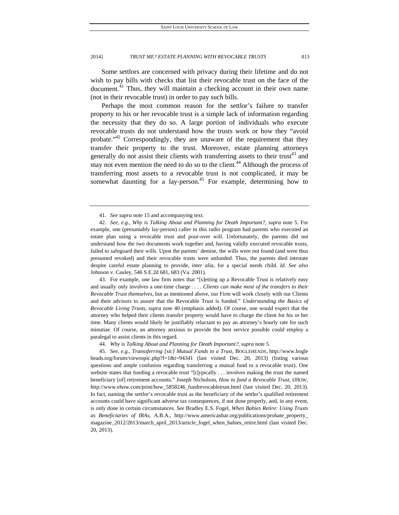Some settlors are concerned with privacy during their lifetime and do not wish to pay bills with checks that list their revocable trust on the face of the document.<sup>41</sup> Thus, they will maintain a checking account in their own name (not in their revocable trust) in order to pay such bills.

Perhaps the most common reason for the settlor's failure to transfer property to his or her revocable trust is a simple lack of information regarding the necessity that they do so. A large portion of individuals who execute revocable trusts do not understand how the trusts work or how they "avoid probate. $142$  Correspondingly, they are unaware of the requirement that they transfer their property to the trust. Moreover, estate planning attorneys generally do not assist their clients with transferring assets to their trust<sup>43</sup> and may not even mention the need to do so to the client.<sup>44</sup> Although the process of transferring most assets to a revocable trust is not complicated, it may be somewhat daunting for a lay-person.<sup>45</sup> For example, determining how to

 43. For example, one law firm notes that "[s]etting up a Revocable Trust is relatively easy and usually only involves a one-time charge . . . . *Clients can make most of the transfers to their Revocable Trust themselves*, but as mentioned above, our Firm will work closely with our Clients and their advisors to assure that the Revocable Trust is funded." *Understanding the Basics of Revocable Living Trusts*, *supra* note 40 (emphasis added). Of course, one would expect that the attorney who helped their clients transfer property would have to charge the client for his or her time. Many clients would likely be justifiably reluctant to pay an attorney's hourly rate for such minutiae. Of course, an attorney anxious to provide the best service possible could employ a paralegal to assist clients in this regard.

44. *Why is Talking About and Planning for Death Important?*, *supra* note 5.

 45. *See, e.g.*, *Transsferring [sic] Mutual Funds to a Trust*, BOGLEHEADS, http://www.bogle heads.org/forum/viewtopic.php?f=1&t=94341 (last visited Dec. 20, 2013) (listing various questions and ample confusion regarding transferring a mutual fund to a revocable trust). One website states that funding a revocable trust "[t]ypically . . . involves making the trust the named beneficiary [of] retirement accounts." Joseph Nicholson, *How to fund a Revocable Trust*, EHOW, http://www.ehow.com/print/how\_5858246\_fundrevocabletrust.html (last visited Dec. 20, 2013). In fact, naming the settlor's revocable trust as the beneficiary of the settler's qualified retirement accounts could have significant adverse tax consequences, if not done properly, and, in any event, is only done in certain circumstances. *See* Bradley E.S. Fogel, *When Babies Retire: Using Trusts as Beneficiaries of IRAs,* A.B.A., http://www.americanbar.org/publications/probate\_property\_ magazine\_2012/2013/march\_april\_2013/article\_fogel\_when\_babies\_retire.html (last visited Dec. 20, 2013).

 <sup>41.</sup> *See supra* note 15 and accompanying text.

 <sup>42.</sup> *See, e.g.*, *Why is Talking About and Planning for Death Important?*, *supra* note 5. For example, one (presumably lay-person) caller in this radio program had parents who executed an estate plan using a revocable trust and pour-over will. Unfortunately, the parents did not understand how the two documents work together and, having validly executed revocable trusts, failed to safeguard their wills. Upon the parents' demise, the wills were not found (and were thus presumed revoked) and their revocable trusts were unfunded. Thus, the parents died intestate despite careful estate planning to provide, *inter alia*, for a special needs child. *Id. See also*  Johnson v. Cauley, 546 S.E.2d 681, 683 (Va. 2001).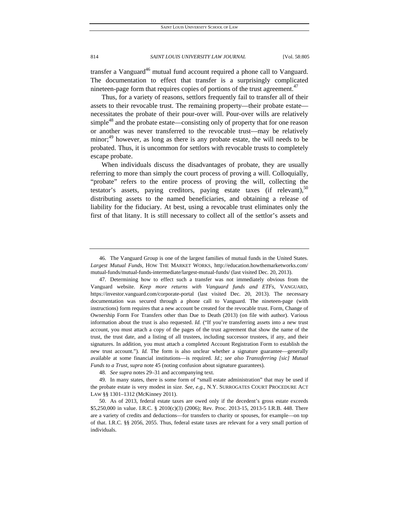transfer a Vanguard<sup>46</sup> mutual fund account required a phone call to Vanguard. The documentation to effect that transfer is a surprisingly complicated nineteen-page form that requires copies of portions of the trust agreement.<sup>47</sup>

Thus, for a variety of reasons, settlors frequently fail to transfer all of their assets to their revocable trust. The remaining property—their probate estate necessitates the probate of their pour-over will. Pour-over wills are relatively simple<sup>48</sup> and the probate estate—consisting only of property that for one reason or another was never transferred to the revocable trust—may be relatively minor;<sup>49</sup> however, as long as there is any probate estate, the will needs to be probated. Thus, it is uncommon for settlors with revocable trusts to completely escape probate.

When individuals discuss the disadvantages of probate, they are usually referring to more than simply the court process of proving a will. Colloquially, "probate" refers to the entire process of proving the will, collecting the testator's assets, paying creditors, paying estate taxes (if relevant),  $50$ distributing assets to the named beneficiaries, and obtaining a release of liability for the fiduciary. At best, using a revocable trust eliminates only the first of that litany. It is still necessary to collect all of the settlor's assets and

 <sup>46.</sup> The Vanguard Group is one of the largest families of mutual funds in the United States. *Largest Mutual Funds*, HOW THE MARKET WORKS, http://education.howthemarketworks.com/ mutual-funds/mutual-funds-intermediate/largest-mutual-funds/ (last visited Dec. 20, 2013).

 <sup>47.</sup> Determining how to effect such a transfer was not immediately obvious from the Vanguard website. *Keep more returns with Vanguard funds and ETFs*, VANGUARD, https://investor.vanguard.com/corporate-portal (last visited Dec. 20, 2013). The necessary documentation was secured through a phone call to Vanguard. The nineteen-page (with instructions) form requires that a new account be created for the revocable trust. Form, Change of Ownership Form For Transfers other than Due to Death (2013) (on file with author). Various information about the trust is also requested. *Id.* ("If you're transferring assets into a new trust account, you must attach a copy of the pages of the trust agreement that show the name of the trust, the trust date, and a listing of all trustees, including successor trustees, if any, and their signatures. In addition, you must attach a completed Account Registration Form to establish the new trust account."). *Id*. The form is also unclear whether a signature guarantee—generally available at some financial institutions—is required. *Id.*; *see also Transsferring [sic] Mutual Funds to a Trust*, *supra* note 45 (noting confusion about signature guarantees).

 <sup>48.</sup> *See supra* notes 29–31 and accompanying text.

 <sup>49.</sup> In many states, there is some form of "small estate administration" that may be used if the probate estate is very modest in size. *See, e.g.*, N.Y. SURROGATES COURT PROCEDURE ACT LAW §§ 1301–1312 (McKinney 2011).

 <sup>50.</sup> As of 2013, federal estate taxes are owed only if the decedent's gross estate exceeds \$5,250,000 in value. I.R.C. § 2010(c)(3) (2006); Rev. Proc. 2013-15, 2013-5 I.R.B. 448. There are a variety of credits and deductions—for transfers to charity or spouses, for example—on top of that. I.R.C. §§ 2056, 2055. Thus, federal estate taxes are relevant for a very small portion of individuals.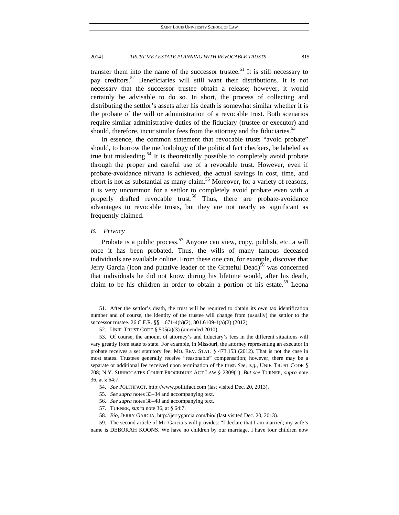transfer them into the name of the successor trustee.<sup>51</sup> It is still necessary to pay creditors.52 Beneficiaries will still want their distributions. It is not necessary that the successor trustee obtain a release; however, it would certainly be advisable to do so. In short, the process of collecting and distributing the settlor's assets after his death is somewhat similar whether it is the probate of the will or administration of a revocable trust. Both scenarios require similar administrative duties of the fiduciary (trustee or executor) and should, therefore, incur similar fees from the attorney and the fiduciaries.<sup>33</sup>

In essence, the common statement that revocable trusts "avoid probate" should, to borrow the methodology of the political fact checkers, be labeled as true but misleading.<sup>54</sup> It is theoretically possible to completely avoid probate through the proper and careful use of a revocable trust. However, even if probate-avoidance nirvana is achieved, the actual savings in cost, time, and effort is not as substantial as many claim.<sup>55</sup> Moreover, for a variety of reasons, it is very uncommon for a settlor to completely avoid probate even with a properly drafted revocable trust.<sup>56</sup> Thus, there are probate-avoidance advantages to revocable trusts, but they are not nearly as significant as frequently claimed.

# *B. Privacy*

Probate is a public process.<sup>57</sup> Anyone can view, copy, publish, etc. a will once it has been probated. Thus, the wills of many famous deceased individuals are available online. From these one can, for example, discover that Jerry Garcia (icon and putative leader of the Grateful Dead)<sup>58</sup> was concerned that individuals he did not know during his lifetime would, after his death, claim to be his children in order to obtain a portion of his estate.<sup>59</sup> Leona

 <sup>51.</sup> After the settlor's death, the trust will be required to obtain its own tax identification number and of course, the identity of the trustee will change from (usually) the settlor to the successor trustee. 26 C.F.R. §§ 1.671-4(b)(2), 301.6109-1(a)(2) (2012).

 <sup>52.</sup> UNIF. TRUST CODE § 505(a)(3) (amended 2010).

 <sup>53.</sup> Of course, the amount of attorney's and fiduciary's fees in the different situations will vary greatly from state to state. For example, in Missouri, the attorney representing an executor in probate receives a set statutory fee. MO. REV. STAT. § 473.153 (2012). That is not the case in most states. Trustees generally receive "reasonable" compensation; however, there may be a separate or additional fee received upon termination of the trust. *See, e.g.*, UNIF. TRUST CODE § 708; N.Y. SURROGATES COURT PROCEDURE ACT LAW § 2309(1). *But see* TURNER, *supra* note 36, at § 64:7.

 <sup>54.</sup> *See* POLITIFACT, http://www.politifact.com (last visited Dec. 20, 2013).

 <sup>55.</sup> *See supra* notes 33–34 and accompanying text.

 <sup>56.</sup> *See supra* notes 38–48 and accompanying text.

 <sup>57.</sup> TURNER, *supra* note 36, at § 64:7.

 <sup>58.</sup> *Bio*, JERRY GARCIA, http://jerrygarcia.com/bio/ (last visited Dec. 20, 2013).

 <sup>59.</sup> The second article of Mr. Garcia's will provides: "I declare that I am married; my wife's name is DEBORAH KOONS. We have no children by our marriage. I have four children now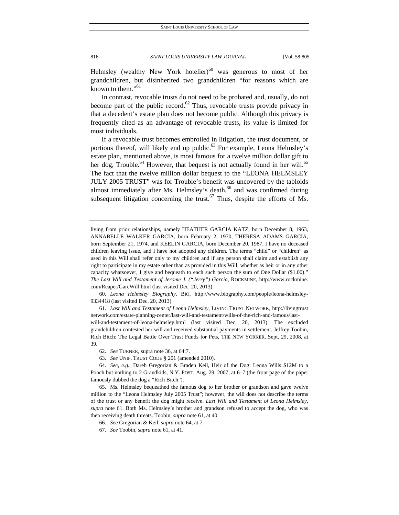Helmsley (wealthy New York hotelier) $60$  was generous to most of her grandchildren, but disinherited two grandchildren "for reasons which are known to them."<sup>61</sup>

In contrast, revocable trusts do not need to be probated and, usually, do not become part of the public record.<sup>62</sup> Thus, revocable trusts provide privacy in that a decedent's estate plan does not become public. Although this privacy is frequently cited as an advantage of revocable trusts, its value is limited for most individuals.

If a revocable trust becomes embroiled in litigation, the trust document, or portions thereof, will likely end up public.<sup>63</sup> For example, Leona Helmsley's estate plan, mentioned above, is most famous for a twelve million dollar gift to her dog, Trouble.<sup>64</sup> However, that bequest is not actually found in her will.<sup>65</sup> The fact that the twelve million dollar bequest to the "LEONA HELMSLEY JULY 2005 TRUST" was for Trouble's benefit was uncovered by the tabloids almost immediately after Ms. Helmsley's death,<sup>66</sup> and was confirmed during subsequent litigation concerning the trust.<sup>67</sup> Thus, despite the efforts of Ms.

 60. *Leona Helmsley Biography*, BIO, http://www.biography.com/people/leona-helmsley-9334418 (last visited Dec. 20, 2013).

 61. *Last Will and Testament of Leona Helmsley*, LIVING TRUST NETWORK, http://livingtrust network.com/estate-planning-center/last-will-and-testament/wills-of-the-rich-and-famous/last-

will-and-testament-of-leona-helmsley.html (last visited Dec. 20, 2013). The excluded grandchildren contested her will and received substantial payments in settlement. Jeffrey Toobin, Rich Bitch: The Legal Battle Over Trust Funds for Pets, THE NEW YORKER, Sept. 29, 2008, at 39.

62. *See* TURNER, supra note 36, at 64:7.

63. *See* UNIF. TRUST CODE § 201 (amended 2010).

 64. *See, e.g.*, Dareh Gregorian & Braden Keil, Heir of the Dog: Leona Wills \$12M to a Pooch but nothing to 2 Grandkids, N.Y. POST, Aug. 29, 2007, at 6–7 (the front page of the paper famously dubbed the dog a "Rich Bitch").

 65. Ms. Helmsley bequeathed the famous dog to her brother or grandson and gave twelve million to the "Leona Helmsley July 2005 Trust"; however, the will does not describe the terms of the trust or any benefit the dog might receive. *Last Will and Testament of Leona Helmsley*, *supra* note 61. Both Ms. Helmsley's brother and grandson refused to accept the dog, who was then receiving death threats. Toobin, *supra* note 61, at 40.

66. *See* Gregorian & Keil, *supra* note 64, at 7.

67. *See* Toobin, *supra* note 61, at 41.

living from prior relationships, namely HEATHER GARCIA KATZ, born December 8, 1963, ANNABELLE WALKER GARCIA, born February 2, 1970, THERESA ADAMS GARCIA, born September 21, 1974, and KEELIN GARCIA, born December 20, 1987. I have no deceased children leaving issue, and I have not adopted any children. The terms "child" or "children" as used in this Will shall refer only to my children and if any person shall claim and establish any right to participate in my estate other than as provided in this Will, whether as heir or in any other capacity whatsoever, I give and bequeath to each such person the sum of One Dollar (\$1.00)." *The Last Will and Testament of Jerome J. ("Jerry") Garcia*, ROCKMINE, http://www.rockmine. com/Reaper/GarcWill.html (last visited Dec. 20, 2013).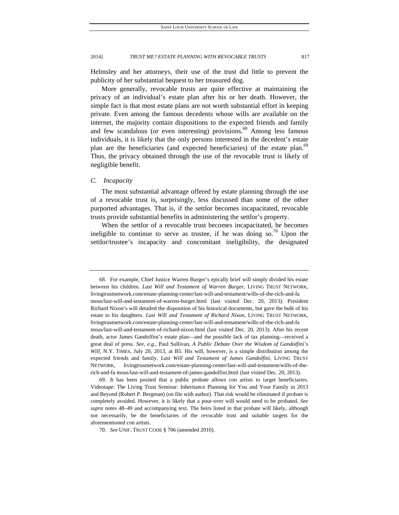Helmsley and her attorneys, their use of the trust did little to prevent the publicity of her substantial bequest to her treasured dog.

More generally, revocable trusts are quite effective at maintaining the privacy of an individual's estate plan after his or her death. However, the simple fact is that most estate plans are not worth substantial effort in keeping private. Even among the famous decedents whose wills are available on the internet, the majority contain dispositions to the expected friends and family and few scandalous (or even interesting) provisions.<sup>68</sup> Among less famous individuals, it is likely that the only persons interested in the decedent's estate plan are the beneficiaries (and expected beneficiaries) of the estate plan.<sup>69</sup> Thus, the privacy obtained through the use of the revocable trust is likely of negligible benefit.

# *C. Incapacity*

The most substantial advantage offered by estate planning through the use of a revocable trust is, surprisingly, less discussed than some of the other purported advantages. That is, if the settlor becomes incapacitated, revocable trusts provide substantial benefits in administering the settlor's property.

When the settlor of a revocable trust becomes incapacitated, he becomes ineligible to continue to serve as trustee, if he was doing so.<sup>70</sup> Upon the settlor/trustee's incapacity and concomitant ineligibility, the designated

 <sup>68.</sup> For example, Chief Justice Warren Burger's epically brief will simply divided his estate between his children. *Last Will and Testament of Warren Burger*, LIVING TRUST NETWORK, livingtrustnetwork.com/estate-planning-center/last-will-and-testament/wills-of-the-rich-and-fa mous/last-will-and-testament-of-warren-burger.html (last visited Dec. 20, 2013). President Richard Nixon's will detailed the disposition of his historical documents, but gave the bulk of his estate to his daughters. *Last Will and Testament of Richard Nixon*, LIVING TRUST NETWORK, livingtrustnetwork.com/estate-planning-center/last-will-and-testament/wills-of-the-rich-and-fa mous/last-will-and-testament-of-richard-nixon.html (last visited Dec. 20, 2013). After his recent death, actor James Gandolfini's estate plan—and the possible lack of tax planning—received a great deal of press. *See, e.g.*, Paul Sullivan, *A Public Debate Over the Wisdom of Gandolfini's Will*, N.Y. TIMES, July 20, 2013, at B5. His will, however, is a simple distribution among the expected friends and family. *Last Will and Testament of James Gandolfini*, LIVING TRUST NETWORK, livingtrustnetwork.com/estate-planning-center/last-will-and-testament/wills-of-therich-and-fa mous/last-will-and-testament-of-james-gandolfini.html (last visited Dec. 20, 2013).

 <sup>69.</sup> It has been posited that a public probate allows con artists to target beneficiaries. Videotape: The Living Trust Seminar: Inheritance Planning for You and Your Family in 2013 and Beyond (Robert P. Bergman) (on file with author). That risk would be eliminated if probate is completely avoided. However, it is likely that a pour-over will would need to be probated. *See supra* notes 48–49 and accompanying text. The heirs listed in that probate will likely, although not necessarily, be the beneficiaries of the revocable trust and suitable targets for the aforementioned con artists.

 <sup>70.</sup> *See* UNIF. TRUST CODE § 706 (amended 2010).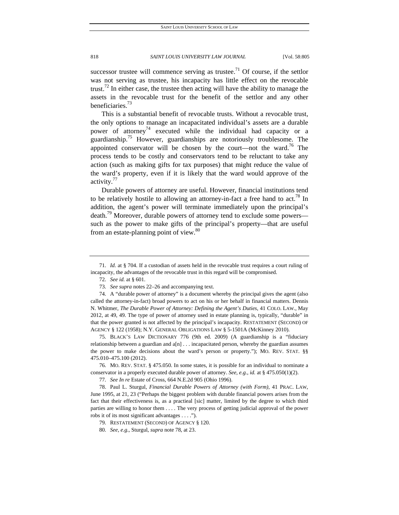successor trustee will commence serving as trustee.<sup>71</sup> Of course, if the settlor was not serving as trustee, his incapacity has little effect on the revocable trust.<sup>72</sup> In either case, the trustee then acting will have the ability to manage the assets in the revocable trust for the benefit of the settlor and any other beneficiaries.<sup>73</sup>

This is a substantial benefit of revocable trusts. Without a revocable trust, the only options to manage an incapacitated individual's assets are a durable power of attorney<sup>74</sup> executed while the individual had capacity or a guardianship.<sup>75</sup> However, guardianships are notoriously troublesome. The appointed conservator will be chosen by the court—not the ward.<sup>76</sup> The process tends to be costly and conservators tend to be reluctant to take any action (such as making gifts for tax purposes) that might reduce the value of the ward's property, even if it is likely that the ward would approve of the activity. $77$ 

Durable powers of attorney are useful. However, financial institutions tend to be relatively hostile to allowing an attorney-in-fact a free hand to act.<sup>78</sup> In addition, the agent's power will terminate immediately upon the principal's death.<sup>79</sup> Moreover, durable powers of attorney tend to exclude some powers such as the power to make gifts of the principal's property—that are useful from an estate-planning point of view.<sup>80</sup>

 <sup>71.</sup> *Id.* at § 704. If a custodian of assets held in the revocable trust requires a court ruling of incapacity, the advantages of the revocable trust in this regard will be compromised.

 <sup>72.</sup> *See id.* at § 601.

 <sup>73.</sup> *See supra* notes 22–26 and accompanying text.

 <sup>74.</sup> A "durable power of attorney" is a document whereby the principal gives the agent (also called the attorney-in-fact) broad powers to act on his or her behalf in financial matters. Dennis N. Whitmer, *The Durable Power of Attorney: Defining the Agent's Duties*, 41 COLO. LAW., May 2012, at 49, 49. The type of power of attorney used in estate planning is, typically, "durable" in that the power granted is not affected by the principal's incapacity. RESTATEMENT (SECOND) OF AGENCY § 122 (1958); N.Y. GENERAL OBLIGATIONS LAW § 5-1501A (McKinney 2010).

 <sup>75.</sup> BLACK'S LAW DICTIONARY 776 (9th ed. 2009) (A guardianship is a "fiduciary relationship between a guardian and a[n] . . . incapacitated person, whereby the guardian assumes the power to make decisions about the ward's person or property."); MO. REV. STAT. §§ 475.010–475.100 (2012).

 <sup>76.</sup> MO. REV. STAT. § 475.050. In some states, it is possible for an individual to nominate a conservator in a properly executed durable power of attorney. *See, e.g.*, *id.* at § 475.050(1)(2).

<sup>77</sup>*. See In re* Estate of Cross, 664 N.E.2d 905 (Ohio 1996).

 <sup>78.</sup> Paul L. Sturgul, *Financial Durable Powers of Attorney (with Form)*, 41 PRAC. LAW, June 1995, at 21, 23 ("Perhaps the biggest problem with durable financial powers arises from the fact that their effectiveness is, as a practieal [sic] matter, limited by the degree to which third parties are willing to honor them . . . . The very process of getting judicial approval of the power robs it of its most significant advantages . . . .").

 <sup>79.</sup> RESTATEMENT (SECOND) OF AGENCY § 120.

 <sup>80.</sup> *See, e.g.*, Sturgul, *supra* note 78, at 23.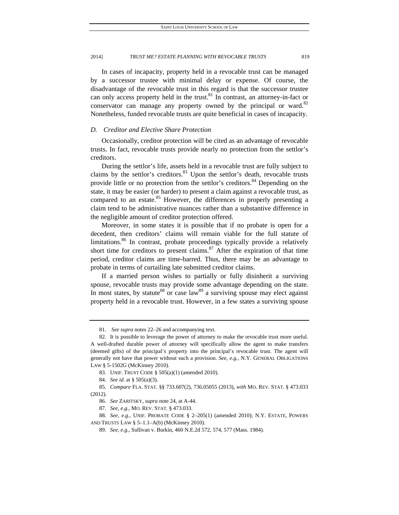In cases of incapacity, property held in a revocable trust can be managed by a successor trustee with minimal delay or expense. Of course, the disadvantage of the revocable trust in this regard is that the successor trustee can only access property held in the trust. <sup>81</sup> In contrast, an attorney-in-fact or conservator can manage any property owned by the principal or ward. $82$ Nonetheless, funded revocable trusts are quite beneficial in cases of incapacity.

# *D. Creditor and Elective Share Protection*

Occasionally, creditor protection will be cited as an advantage of revocable trusts. In fact, revocable trusts provide nearly no protection from the settlor's creditors.

During the settlor's life, assets held in a revocable trust are fully subject to claims by the settlor's creditors. $83$  Upon the settlor's death, revocable trusts provide little or no protection from the settlor's creditors.<sup>84</sup> Depending on the state, it may be easier (or harder) to present a claim against a revocable trust, as compared to an estate.<sup>85</sup> However, the differences in properly presenting a claim tend to be administrative nuances rather than a substantive difference in the negligible amount of creditor protection offered.

Moreover, in some states it is possible that if no probate is open for a decedent, then creditors' claims will remain viable for the full statute of limitations.<sup>86</sup> In contrast, probate proceedings typically provide a relatively short time for creditors to present claims. $87$  After the expiration of that time period, creditor claims are time-barred. Thus, there may be an advantage to probate in terms of curtailing late submitted creditor claims.

If a married person wishes to partially or fully disinherit a surviving spouse, revocable trusts may provide some advantage depending on the state. In most states, by statute<sup>88</sup> or case law<sup>89</sup> a surviving spouse may elect against property held in a revocable trust. However, in a few states a surviving spouse

 <sup>81.</sup> *See supra* notes 22–26 and accompanying text.

 <sup>82.</sup> It is possible to leverage the power of attorney to make the revocable trust more useful. A well-drafted durable power of attorney will specifically allow the agent to make transfers (deemed gifts) of the principal's property into the principal's revocable trust. The agent will generally not have that power without such a provision. *See, e.g.*, N.Y. GENERAL OBLIGATIONS LAW § 5-1502G (McKinney 2010).

 <sup>83.</sup> UNIF. TRUST CODE § 505(a)(1) (amended 2010).

 <sup>84.</sup> *See id.* at § 505(a)(3).

 <sup>85.</sup> *Compare* FLA. STAT. §§ 733.607(2), 736.05055 (2013), *with* MO. REV. STAT. § 473.033 (2012).

 <sup>86.</sup> *See* ZARITSKY, *supra* note 24, at A-44.

 <sup>87.</sup> *See, e.g.*, MO. REV. STAT. § 473.033.

 <sup>88.</sup> *See, e.g.*, UNIF. PROBATE CODE § 2–205(1) (amended 2010); N.Y. ESTATE, POWERS AND TRUSTS LAW § 5–1.1–A(b) (McKinney 2010).

 <sup>89.</sup> *See, e.g.*, Sullivan v. Burkin, 460 N.E.2d 572, 574, 577 (Mass. 1984).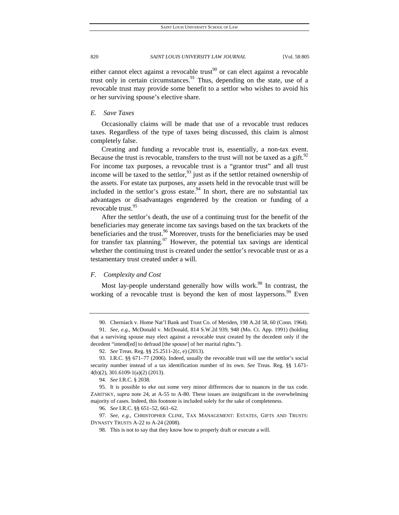either cannot elect against a revocable trust<sup>90</sup> or can elect against a revocable trust only in certain circumstances.<sup>91</sup> Thus, depending on the state, use of a revocable trust may provide some benefit to a settlor who wishes to avoid his or her surviving spouse's elective share.

## *E. Save Taxes*

Occasionally claims will be made that use of a revocable trust reduces taxes. Regardless of the type of taxes being discussed, this claim is almost completely false.

Creating and funding a revocable trust is, essentially, a non-tax event. Because the trust is revocable, transfers to the trust will not be taxed as a gift.<sup>92</sup> For income tax purposes, a revocable trust is a "grantor trust" and all trust income will be taxed to the settlor, $93$  just as if the settlor retained ownership of the assets. For estate tax purposes, any assets held in the revocable trust will be included in the settlor's gross estate. $94$  In short, there are no substantial tax advantages or disadvantages engendered by the creation or funding of a revocable trust.<sup>95</sup>

After the settlor's death, the use of a continuing trust for the benefit of the beneficiaries may generate income tax savings based on the tax brackets of the beneficiaries and the trust.<sup>96</sup> Moreover, trusts for the beneficiaries may be used for transfer tax planning.<sup>97</sup> However, the potential tax savings are identical whether the continuing trust is created under the settlor's revocable trust or as a testamentary trust created under a will.

# *F. Complexity and Cost*

Most lay-people understand generally how wills work.<sup>98</sup> In contrast, the working of a revocable trust is beyond the ken of most laypersons.<sup>99</sup> Even

 <sup>90.</sup> Cherniack v. Home Nat'l Bank and Trust Co. of Meriden, 198 A.2d 58, 60 (Conn. 1964).

 <sup>91.</sup> *See, e.g.*, McDonald v. McDonald, 814 S.W.2d 939, 948 (Mo. Ct. App. 1991) (holding that a surviving spouse may elect against a revocable trust created by the decedent only if the decedent "intend[ed] to defraud [the spouse] of her marital rights.").

 <sup>92.</sup> *See* Treas. Reg. §§ 25.2511-2(c, e) (2013).

 <sup>93.</sup> I.R.C. §§ 671–77 (2006). Indeed, usually the revocable trust will use the settlor's social security number instead of a tax identification number of its own. *See* Treas. Reg. §§ 1.671- 4(b)(2), 301.6109-1(a)(2) (2013).

 <sup>94.</sup> *See* I.R.C. § 2038.

 <sup>95.</sup> It is possible to eke out some very minor differences due to nuances in the tax code. ZARITSKY, *supra* note 24, at A-55 to A-80. These issues are insignificant in the overwhelming majority of cases. Indeed, this footnote is included solely for the sake of completeness.

 <sup>96.</sup> *See* I.R.C. §§ 651–52, 661–62.

 <sup>97.</sup> *See, e.g.*, CHRISTOPHER CLINE, TAX MANAGEMENT: ESTATES, GIFTS AND TRUSTS: DYNASTY TRUSTS A-22 to A-24 (2008).

 <sup>98.</sup> This is not to say that they know how to properly draft or execute a will.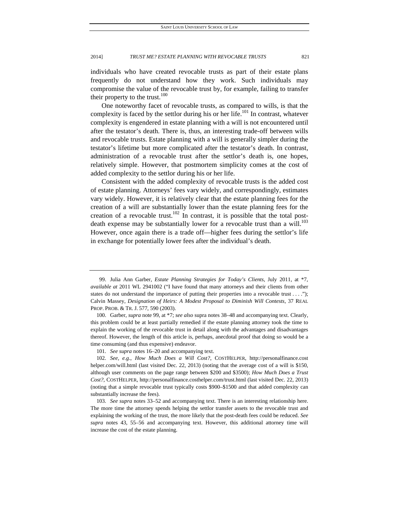individuals who have created revocable trusts as part of their estate plans frequently do not understand how they work. Such individuals may compromise the value of the revocable trust by, for example, failing to transfer their property to the trust. $100$ 

One noteworthy facet of revocable trusts, as compared to wills, is that the complexity is faced by the settlor during his or her life.<sup>101</sup> In contrast, whatever complexity is engendered in estate planning with a will is not encountered until after the testator's death. There is, thus, an interesting trade-off between wills and revocable trusts. Estate planning with a will is generally simpler during the testator's lifetime but more complicated after the testator's death. In contrast, administration of a revocable trust after the settlor's death is, one hopes, relatively simple. However, that postmortem simplicity comes at the cost of added complexity to the settlor during his or her life.

Consistent with the added complexity of revocable trusts is the added cost of estate planning. Attorneys' fees vary widely, and correspondingly, estimates vary widely. However, it is relatively clear that the estate planning fees for the creation of a will are substantially lower than the estate planning fees for the creation of a revocable trust.<sup>102</sup> In contrast, it is possible that the total postdeath expense may be substantially lower for a revocable trust than a will.<sup>103</sup> However, once again there is a trade off—higher fees during the settlor's life in exchange for potentially lower fees after the individual's death.

101. *See supra* notes 16–20 and accompanying text.

 <sup>99.</sup> Julia Ann Garber, *Estate Planning Strategies for Today's Clients*, July 2011, at \*7, *available at* 2011 WL 2941002 ("I have found that many attorneys and their clients from other states do not understand the importance of putting their properties into a revocable trust . . . ."); Calvin Massey, *Designation of Heirs: A Modest Proposal to Diminish Will Contests*, 37 REAL PROP. PROB. & TR. J. 577, 590 (2003).

 <sup>100.</sup> Garber, *supra* note 99, at \*7; *see also* supra notes 38–48 and accompanying text. Clearly, this problem could be at least partially remedied if the estate planning attorney took the time to explain the working of the revocable trust in detail along with the advantages and disadvantages thereof. However, the length of this article is, perhaps, anecdotal proof that doing so would be a time consuming (and thus expensive) endeavor.

 <sup>102.</sup> *See, e.g.*, *How Much Does a Will Cost?*, COSTHELPER, http://personalfinance.cost helper.com/will.html (last visited Dec. 22, 2013) (noting that the average cost of a will is \$150, although user comments on the page range between \$200 and \$3500); *How Much Does a Trust Cost?*, COSTHELPER, http://personalfinance.costhelper.com/trust.html (last visited Dec. 22, 2013) (noting that a simple revocable trust typically costs \$900–\$1500 and that added complexity can substantially increase the fees).

 <sup>103.</sup> *See supra* notes 33–52 and accompanying text. There is an interesting relationship here. The more time the attorney spends helping the settlor transfer assets to the revocable trust and explaining the working of the trust, the more likely that the post-death fees could be reduced. *See supra* notes 43, 55–56 and accompanying text. However, this additional attorney time will increase the cost of the estate planning.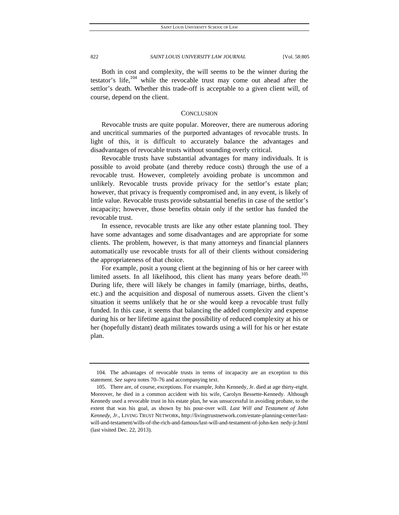Both in cost and complexity, the will seems to be the winner during the testator's life, $104$  while the revocable trust may come out ahead after the settlor's death. Whether this trade-off is acceptable to a given client will, of course, depend on the client.

# **CONCLUSION**

Revocable trusts are quite popular. Moreover, there are numerous adoring and uncritical summaries of the purported advantages of revocable trusts. In light of this, it is difficult to accurately balance the advantages and disadvantages of revocable trusts without sounding overly critical.

Revocable trusts have substantial advantages for many individuals. It is possible to avoid probate (and thereby reduce costs) through the use of a revocable trust. However, completely avoiding probate is uncommon and unlikely. Revocable trusts provide privacy for the settlor's estate plan; however, that privacy is frequently compromised and, in any event, is likely of little value. Revocable trusts provide substantial benefits in case of the settlor's incapacity; however, those benefits obtain only if the settlor has funded the revocable trust.

In essence, revocable trusts are like any other estate planning tool. They have some advantages and some disadvantages and are appropriate for some clients. The problem, however, is that many attorneys and financial planners automatically use revocable trusts for all of their clients without considering the appropriateness of that choice.

For example, posit a young client at the beginning of his or her career with limited assets. In all likelihood, this client has many years before death.<sup>105</sup> During life, there will likely be changes in family (marriage, births, deaths, etc.) and the acquisition and disposal of numerous assets. Given the client's situation it seems unlikely that he or she would keep a revocable trust fully funded. In this case, it seems that balancing the added complexity and expense during his or her lifetime against the possibility of reduced complexity at his or her (hopefully distant) death militates towards using a will for his or her estate plan.

 <sup>104.</sup> The advantages of revocable trusts in terms of incapacity are an exception to this statement. *See supra* notes 70–76 and accompanying text.

 <sup>105.</sup> There are, of course, exceptions. For example, John Kennedy, Jr. died at age thirty-eight. Moreover, he died in a common accident with his wife, Carolyn Bessette-Kennedy. Although Kennedy used a revocable trust in his estate plan, he was unsuccessful in avoiding probate, to the extent that was his goal, as shown by his pour-over will. *Last Will and Testament of John Kennedy*, *Jr.*, LIVING TRUST NETWORK, http://livingtrustnetwork.com/estate-planning-center/lastwill-and-testament/wills-of-the-rich-and-famous/last-will-and-testament-of-john-ken nedy-jr.html (last visited Dec. 22, 2013).